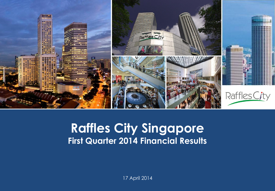

## **Capital Raffles City Singapore Presentation Presents First Quarter 2014 Financial Results**

17 April 2014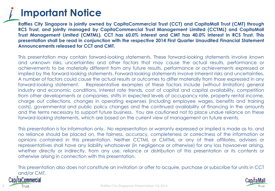# **Important Notice**

**Raffles City Singapore is jointly owned by CapitaCommercial Trust (CCT) and CapitaMall Trust (CMT) through RCS Trust, and jointly managed by CapitaCommercial Trust Management Limited (CCTML) and CapitaMall Trust Management Limited (CMTML). CCT has 60.0% interest and CMT has 40.0% interest in RCS Trust. This presentation shall be read in conjunction with the respective 2014 First Quarter Unaudited Financial Statement Announcements released for CCT and CMT.**

This presentation may contain forward-looking statements. These forward-looking statements involve known and unknown risks, uncertainties and other factors that may cause the actual results, performance or achievements to be materially different from any future results, performance or achievements expressed or implied by the forward-looking statements. Forward-looking statements involve inherent risks and uncertainties. A number of factors could cause the actual results or outcomes to differ materially from those expressed in any forward-looking statement. Representative examples of these factors include (without limitation) general industry and economic conditions, interest rate trends, cost of capital and capital availability, competition from other developments or companies, shifts in expected levels of occupancy rate, property rental income, charge out collections, changes in operating expenses (including employee wages, benefits and training costs), governmental and public policy changes and the continued availability of financing in the amounts and the terms necessary to support future business. You are cautioned not to place undue reliance on these forward-looking statements, which are based on the current view of management on future events.

This presentation is for information only. No representation or warranty expressed or implied is made as to, and no reliance should be placed on, the fairness, accuracy, completeness or correctness of the information or opinions contained in this presentation. Neither CCTML or CMTML or any of their affiliates, advisers or representatives shall have any liability whatsoever (in negligence or otherwise) for any loss howsoever arising, whether directly or indirectly, from any use, reliance or distribution of this presentation or its contents or otherwise arising in connection with this presentation.

This presentation also does not constitute an invitation or offer to acquire, purchase or subscribe for units in CCT and/or CMT.



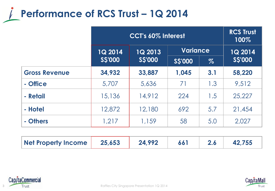

|                      | CCT's 60% Interest |                |                 |      | <b>RCS Trust</b><br>100% |
|----------------------|--------------------|----------------|-----------------|------|--------------------------|
|                      | <b>1Q 2014</b>     | <b>1Q 2013</b> | <b>Variance</b> |      | 1Q 2014                  |
|                      | <b>S\$'000</b>     | <b>SS'000</b>  | <b>SS'000</b>   | $\%$ | <b>SS'000</b>            |
| <b>Gross Revenue</b> | 34,932             | 33,887         | 1,045           | 3.1  | 58,220                   |
| - Office             | 5,707              | 5,636          | 71              | 1.3  | 9,512                    |
| - Retail             | 15,136             | 14,912         | 224             | 1.5  | 25,227                   |
| - Hotel              | 12,872             | 12,180         | 692             | 5.7  | 21,454                   |
| - Others             | 1,217              | 1,159          | 58              | 5.0  | 2,027                    |

| Net Property Income | 25,653 | 24.992 |  | Z.O | 42,755 |
|---------------------|--------|--------|--|-----|--------|
|---------------------|--------|--------|--|-----|--------|



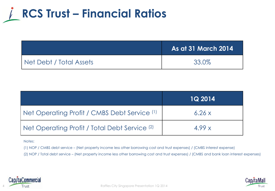

|                         | <b>As at 31 March 2014</b> |
|-------------------------|----------------------------|
| Net Debt / Total Assets | 33.0%                      |

|                                                          | <b>1Q 2014</b> |
|----------------------------------------------------------|----------------|
| Net Operating Profit / CMBS Debt Service (1)             | 6.26x          |
| Net Operating Profit / Total Debt Service <sup>(2)</sup> | 4.99x          |

Notes:

(1) NOP / CMBS debt service – (Net property income less other borrowing cost and trust expenses) / (CMBS interest expense)

(2) NOP / Total debt service – (Net property income less other borrowing cost and trust expenses) / (CMBS and bank loan interest expenses)



4

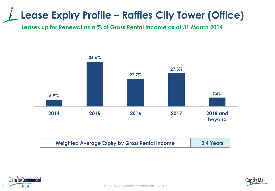# **Lease Expiry Profile – Raffles City Tower (Office)**

**Leases up for Renewal as a % of Gross Rental Income as at 31 March 2014**



| <b>Weighted Average Expiry by Gross Rental Income</b> | 2.4 Years |
|-------------------------------------------------------|-----------|
|                                                       |           |





5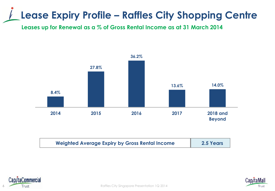# **Lease Expiry Profile – Raffles City Shopping Centre**

**Leases up for Renewal as a % of Gross Rental Income as at 31 March 2014**



| <b>Weighted Average Expiry by Gross Rental Income</b> | 2.5 Years |
|-------------------------------------------------------|-----------|
|-------------------------------------------------------|-----------|



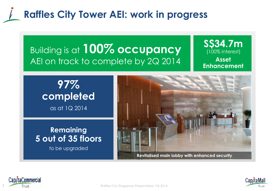## **Raffles City Tower AEI: work in progress**

## Building is at **100% occupancy**  AEI on track to complete by 2Q 2014

#### **S\$34.7m Asset Enhancement** (100% interest)

**97% completed**  as at 1Q 2014

#### **Remaining 5 out of 35 floors**

to be upgraded



**Revitalised main lobby with enhanced security**